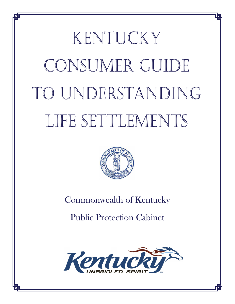# KENTUCKY CONSUMER GUIDE to Understanding LIFE SETTLEMENTS



# Commonwealth of Kentucky

Public Protection Cabinet

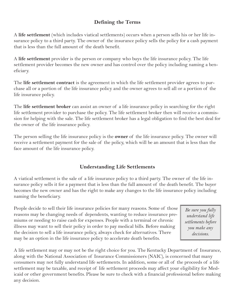### **Defining the Terms**

A **life settlement** (which includes viatical settlements) occurs when a person sells his or her life insurance policy to a third party. The owner of the insurance policy sells the policy for a cash payment that is less than the full amount of the death benefit.

A **life settlement** provider is the person or company who buys the life insurance policy. The life settlement provider becomes the new owner and has control over the policy including naming a beneficiary.

The **life settlement contract** is the agreement in which the life settlement provider agrees to purchase all or a portion of the life insurance policy and the owner agrees to sell all or a portion of the life insurance policy.

The **life settlement broker** can assist an owner of a life insurance policy in searching for the right life settlement provider to purchase the policy. The life settlement broker then will receive a commission for helping with the sale. The life settlement broker has a legal obligation to find the best deal for the owner of the life insurance policy.

The person selling the life insurance policy is the **owner** of the life insurance policy. The owner will receive a settlement payment for the sale of the policy, which will be an amount that is less than the face amount of the life insurance policy.

## **Understanding Life Settlements**

A viatical settlement is the sale of a life insurance policy to a third party. The owner of the life insurance policy sells it for a payment that is less than the full amount of the death benefit. The buyer becomes the new owner and has the right to make any changes to the life insurance policy including naming the beneficiary.

People decide to sell their life insurance policies for many reasons. Some of those reasons may be changing needs of dependents, wanting to reduce insurance premiums or needing to raise cash for expenses. People with a terminal or chronic illness may want to sell their policy in order to pay medical bills. Before making the decision to sell a life insurance policy, always check for alternatives. There may be an option in the life insurance policy to accelerate death benefits.

*Be sure you fully understand life settlements before you make any decisions.*

A life settlement may or may not be the right choice for you. The Kentucky Department of Insurance, along with the National Association of Insurance Commissioners (NAIC), is concerned that many consumers may not fully understand life settlements. In addition, some or all of the proceeds of a life settlement may be taxable, and receipt of life settlement proceeds may affect your eligibility for Medicaid or other government benefits. Please be sure to check with a financial professional before making any decision.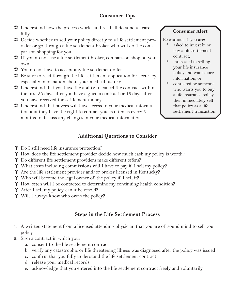- Understand how the process works and read all documents care fully.
- Decide whether to sell your policy directly to a life settlement pro vider or go through a life settlement broker who will do the comparison shopping for you.
- If you do not use a life settlement broker, comparison shop on your own.
- You do not have to accept any life settlement offer.
- $\supset$  Be sure to read through the life settlement application for accuracy, especially information about your medical history.
- Understand that you have the ability to cancel the contract within the first 30 days after you have signed a contract or 15 days after you have received the settlement money.
- Understand that buyers will have access to your medical informa tion and they have the right to contact you as often as every 3 months to discuss any changes in your medical information.

# **Additional Questions to Consider**

- ? Do I still need life insurance protection?
- ? How does the life settlement provider decide how much cash my policy is worth?
- ? Do different life settlement providers make different offers?
- ? What costs including commissions will I have to pay if I sell my policy?
- ? Are the life settlement provider and/or broker licensed in Kentucky?
- ? Who will become the legal owner of the policy if I sell it?
- ? How often will I be contacted to determine my continuing health condition?
- ? After I sell my policy, can it be resold?
- ? Will I always know who owns the policy?

# **Steps in the Life Settlement Process**

- A written statement from a licensed attending physician that you are of sound mind to sell your 1. policy.
- 2. Sign a contract in which you:
	- a. consent to the life settlement contract
	- b. verify any catastrophic or life threatening illness was diagnosed after the policy was issued
	- c. confirm that you fully understand the life settlement contract
	- d. release your medical records
	- e. acknowledge that you entered into the life settlement contract freely and voluntarily

## **Consumer Alert**

Be cautious if you are:

- asked to invest in or buy a life settlement contract; \*
- interested in selling your life insurance policy and want more information; or \*
- contacted by someone who wants you to buy a life insurance policy then immediately sell that policy as a life settlement transaction. \*